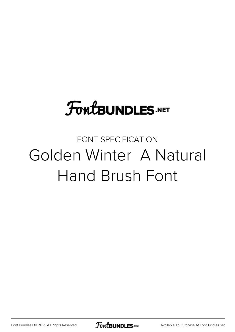## **FoutBUNDLES.NET**

## FONT SPECIFICATION Golden Winter A Natural Hand Brush Font

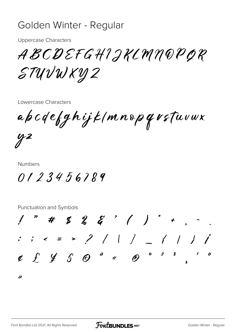## Golden Winter - Regular

**Uppercase Characters** 

ABCDEFGHIJKLMN@PQR STUVWKYZ

Lowercase Characters

apcdefghijk/mnopqvstuvwx

 $yz$ 

**Numbers** 

0123456789

**Punctuation and Symbols**  $1$  " # \$ % & ' ( ) \* + , - .  $: 3 < 2 > 2 | 1 | 2 | 1 | 1 | 1 |$  $\begin{array}{cccccccccccccc} \mathcal{C} & \mathcal{L} & \mathcal{L} & \mathcal{L} & \mathcal{S} & \mathcal{O} & \mathcal{O} & \mathcal{O} & \mathcal{A} & \mathcal{O} & \mathcal{O} & \mathcal{O} & \mathcal{I} & \mathcal{S} & \mathcal{I} & \mathcal{O} \end{array}$ ∕≽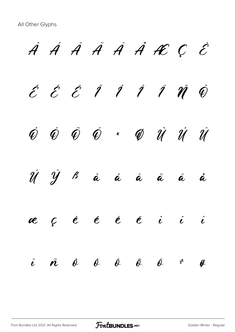*À Á Â Ã Ä Å Æ Ç È É Ê Ë Ì Í Î Ï Ñ Ò Ó Ô Õ Ö × Ø Ù Ú Û Ü Ý ß à á â ã ä å æ ç è é ê ë ì í î ï ñ ò ó ô õ ö ÷ ø*